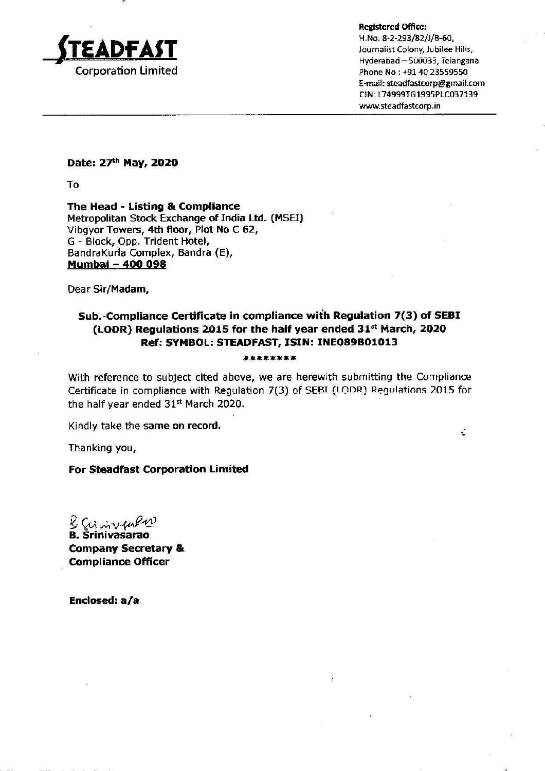

Registered Office:

H.No. 8-2-293/82/J/B-60,<br>Journalist Colony, Jubilee Hills, Hyderabad — 500033, Teiangana E-mail: steadfastcorp@gmail.com CIN: L74999TG1995PLC037139 www.steadfastcorp.in

÷

Date: 27<sup>th</sup> May, 2020

To

The Head - Listing & Compliance Metropolitan Stock Exchange of India Ltd. (MSEI) Vibgyor Towers, 4th floor, Plot No C 62, G - Block, Opp. Trident Hotel, BandrakKurla Complex, Bandra (E), Mumbai — 400 098

Dear Sir/Madam,

## Sub.-Compliance Certificate in compliance with Regulation 7(3) of SEBI (LODR) Regulations 2015 for the haif year ended 31\* March, 2020 Ref: SYMBOL: STEADFAST, ISIN: INEO89B01013

## \*\*\*\*\*\*\*\*

With reference to subject cited above, we are herewith submitting the Compliance Certificate in compliance with Regulation 7(3) of SEBI (LODR) Requlations 2015 for the half year ended 31% March 2020.

Kindly take the same on record.

Thanking you,

For Steadfast Corporation Limited

 $2$  Grainvalue B. Srinivasarao Company Secretary & Compliance Officer

Enclosed: a/a